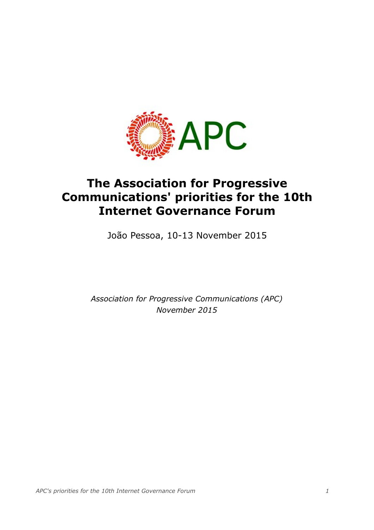

# **The Association for Progressive Communications' priorities for the 10th Internet Governance Forum**

João Pessoa, 10-13 November 2015

*Association for Progressive Communications (APC) November 2015*

*APC's priorities for the 10th Internet Governance Forum 1*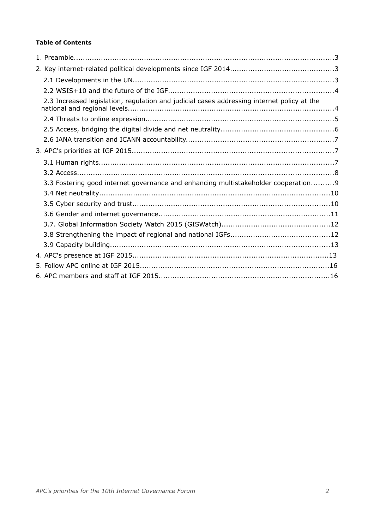#### **Table of Contents**

<span id="page-1-18"></span><span id="page-1-17"></span><span id="page-1-16"></span><span id="page-1-15"></span><span id="page-1-14"></span><span id="page-1-13"></span><span id="page-1-12"></span><span id="page-1-11"></span><span id="page-1-10"></span><span id="page-1-9"></span><span id="page-1-8"></span><span id="page-1-7"></span><span id="page-1-6"></span><span id="page-1-5"></span><span id="page-1-4"></span><span id="page-1-3"></span><span id="page-1-2"></span><span id="page-1-1"></span><span id="page-1-0"></span>

| 2.3 Increased legislation, regulation and judicial cases addressing internet policy at the |  |
|--------------------------------------------------------------------------------------------|--|
|                                                                                            |  |
|                                                                                            |  |
|                                                                                            |  |
|                                                                                            |  |
|                                                                                            |  |
|                                                                                            |  |
| 3.3 Fostering good internet governance and enhancing multistakeholder cooperation9         |  |
|                                                                                            |  |
|                                                                                            |  |
|                                                                                            |  |
|                                                                                            |  |
|                                                                                            |  |
|                                                                                            |  |
|                                                                                            |  |
|                                                                                            |  |
|                                                                                            |  |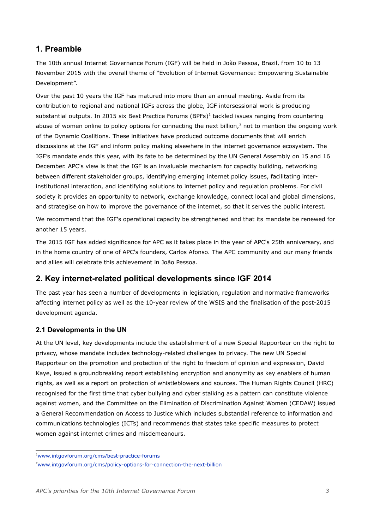# **1. Preamble**

The 10th annual Internet Governance Forum (IGF) will be held in João Pessoa, Brazil, from 10 to 13 November 2015 with the overall theme of "Evolution of Internet Governance: Empowering Sustainable Development".

Over the past 10 years the IGF has matured into more than an annual meeting. Aside from its contribution to regional and national IGFs across the globe, IGF intersessional work is producing substantial outputs. In 20[1](#page-2-0)5 six Best Practice Forums (BPFs)<sup>1</sup> tackled issues ranging from countering abuse of women online to policy options for connecting the next billion,<sup>[2](#page-2-1)</sup> not to mention the ongoing work of the Dynamic Coalitions. These initiatives have produced outcome documents that will enrich discussions at the IGF and inform policy making elsewhere in the internet governance ecosystem. The IGF's mandate ends this year, with its fate to be determined by the UN General Assembly on 15 and 16 December. APC's view is that the IGF is an invaluable mechanism for capacity building, networking between different stakeholder groups, identifying emerging internet policy issues, facilitating interinstitutional interaction, and identifying solutions to internet policy and regulation problems. For civil society it provides an opportunity to network, exchange knowledge, connect local and global dimensions, and strategise on how to improve the governance of the internet, so that it serves the public interest.

We recommend that the IGF's operational capacity be strengthened and that its mandate be renewed for another 15 years.

The 2015 IGF has added significance for APC as it takes place in the year of APC's 25th anniversary, and in the home country of one of APC's founders, Carlos Afonso. The APC community and our many friends and allies will celebrate this achievement in João Pessoa.

# **2. Key internet-related political developments since IGF 2014**

The past year has seen a number of developments in legislation, regulation and normative frameworks affecting internet policy as well as the 10-year review of the WSIS and the finalisation of the post-2015 development agenda.

#### **2.1 Developments in the UN**

At the UN level, key developments include the establishment of a new Special Rapporteur on the right to privacy, whose mandate includes technology-related challenges to privacy. The new UN Special Rapporteur on the promotion and protection of the right to freedom of opinion and expression, David Kaye, issued a groundbreaking report establishing encryption and anonymity as key enablers of human rights, as well as a report on protection of whistleblowers and sources. The Human Rights Council (HRC) recognised for the first time that cyber bullying and cyber stalking as a pattern can constitute violence against women, and the Committee on the Elimination of Discrimination Against Women (CEDAW) issued a General Recommendation on Access to Justice which includes substantial reference to information and communications technologies (ICTs) and recommends that states take specific measures to protect women against internet crimes and misdemeanours.

<span id="page-2-0"></span><sup>1</sup>[www.intgovforum.org/cms/best-practice-forums](http://www.intgovforum.org/cms/best-practice-forums)

<span id="page-2-1"></span><sup>2</sup>[www.intgovforum.org/cms/policy-options-for-connection-the-next-billion](http://www.intgovforum.org/cms/policy-options-for-connection-the-next-billion)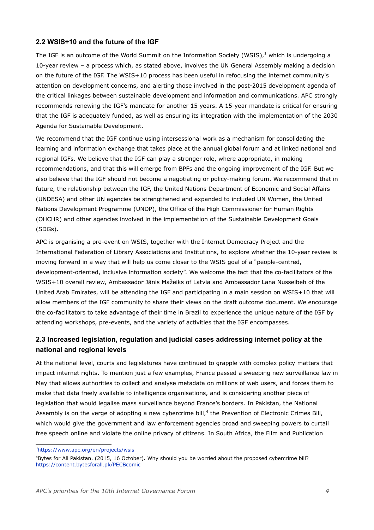#### **2.2 WSIS+10 and the future of the IGF**

The IGF is an outcome of the World Summit on the Information Society (WSIS), [3](#page-3-0) which is undergoing a 10-year review – a process which, as stated above, involves the UN General Assembly making a decision on the future of the IGF. The WSIS+10 process has been useful in refocusing the internet community's attention on development concerns, and alerting those involved in the post-2015 development agenda of the critical linkages between sustainable development and information and communications. APC strongly recommends renewing the IGF's mandate for another 15 years. A 15-year mandate is critical for ensuring that the IGF is adequately funded, as well as ensuring its integration with the implementation of the 2030 Agenda for Sustainable Development.

We recommend that the IGF continue using intersessional work as a mechanism for consolidating the learning and information exchange that takes place at the annual global forum and at linked national and regional IGFs. We believe that the IGF can play a stronger role, where appropriate, in making recommendations, and that this will emerge from BPFs and the ongoing improvement of the IGF. But we also believe that the IGF should not become a negotiating or policy-making forum. We recommend that in future, the relationship between the IGF, the United Nations Department of Economic and Social Affairs (UNDESA) and other UN agencies be strengthened and expanded to included UN Women, the United Nations Development Programme (UNDP), the Office of the High Commissioner for Human Rights (OHCHR) and other agencies involved in the implementation of the Sustainable Development Goals (SDGs).

APC is organising a pre-event on WSIS, together with the Internet Democracy Project and the International Federation of Library Associations and Institutions, to explore whether the 10-year review is moving forward in a way that will help us come closer to the WSIS goal of a "people-centred, development-oriented, inclusive information society". We welcome the fact that the co-facilitators of the WSIS+10 overall review, Ambassador Jānis Mažeiks of Latvia and Ambassador Lana Nusseibeh of the United Arab Emirates, will be attending the IGF and participating in a main session on WSIS+10 that will allow members of the IGF community to share their views on the draft outcome document. We encourage the co-facilitators to take advantage of their time in Brazil to experience the unique nature of the IGF by attending workshops, pre-events, and the variety of activities that the IGF encompasses.

## **2.3 Increased legislation, regulation and judicial cases addressing internet policy at the national and regional levels**

At the national level, courts and legislatures have continued to grapple with complex policy matters that impact internet rights. To mention just a few examples, France passed a sweeping new surveillance law in May that allows authorities to collect and analyse metadata on millions of web users, and forces them to make that data freely available to intelligence organisations, and is considering another piece of legislation that would legalise mass surveillance beyond France's borders. In Pakistan, the National Assembly is on the verge of adopting a new cybercrime bill,<sup>[4](#page-3-1)</sup> the Prevention of Electronic Crimes Bill, which would give the government and law enforcement agencies broad and sweeping powers to curtail free speech online and violate the online privacy of citizens. In South Africa, the Film and Publication

<span id="page-3-0"></span><sup>3</sup><https://www.apc.org/en/projects/wsis>

<span id="page-3-1"></span><sup>4</sup>Bytes for All Pakistan. (2015, 16 October). Why should you be worried about the proposed cybercrime bill? <https://content.bytesforall.pk/PECBcomic>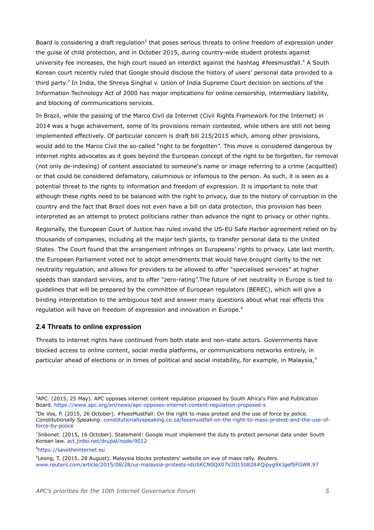Board is considering a draft regulation<sup>[5](#page-4-0)</sup> that poses serious threats to online freedom of expression under the guise of child protection, and in October 2015, during country-wide student protests against university fee increases, the high court issued an interdict against the hashtag #feesmustfall.<sup>[6](#page-4-1)</sup> A South Korean court recently ruled that Google should disclose the history of users' personal data provided to a third party.<sup>[7](#page-4-2)</sup> In India, the Shreya Singhal v. Union of India Supreme Court decision on sections of the Information Technology Act of 2000 has major implications for online censorship, intermediary liability, and blocking of communications services.

In Brazil, while the passing of the Marco Civil da Internet (Civil Rights Framework for the Internet) in 2014 was a huge achievement, some of its provisions remain contested, while others are still not being implemented effectively. Of particular concern is draft bill 215/2015 which, among other provisions, would add to the Marco Civil the so-called "right to be forgotten". This move is considered dangerous by internet rights advocates as it goes beyond the European concept of the right to be forgotten, for removal (not only de-indexing) of content associated to someone's name or image referring to a crime (acquitted) or that could be considered defamatory, calumnious or infamous to the person. As such, it is seen as a potential threat to the rights to information and freedom of expression. It is important to note that although these rights need to be balanced with the right to privacy, due to the history of corruption in the country and the fact that Brazil does not even have a bill on data protection, this provision has been interpreted as an attempt to protect politicians rather than advance the right to privacy or other rights.

Regionally, the European Court of Justice has ruled invalid the US-EU Safe Harbor agreement relied on by thousands of companies, including all the major tech giants, to transfer personal data to the United States. The Court found that the arrangement infringes on Europeans' rights to privacy. Late last month, the European Parliament voted not to adopt amendments that would have brought clarity to the net neutrality regulation, and allows for providers to be allowed to offer "specialised services" at higher speeds than standard services, and to offer "zero-rating".The future of net neutrality in Europe is tied to guidelines that will be prepared by the committee of European regulators (BEREC), which will give a binding interpretation to the ambiguous text and answer many questions about what real effects this regulation will have on freedom of expression and innovation in Europe.<sup>[8](#page-4-3)</sup>

#### **2.4 Threats to online expression**

Threats to internet rights have continued from both state and non-state actors. Governments have blocked access to online content, social media platforms, or communications networks entirely, in particular ahead of elections or in times of political and social instability, for example, in Malaysia,  $9$ 

<span id="page-4-0"></span><sup>&</sup>lt;sup>5</sup>APC. (2015, 25 May). APC opposes internet content regulation proposed by South Africa's Film and Publication Board.<https://www.apc.org/en/news/apc-opposes-internet-content-regulation-proposed-s>

<span id="page-4-1"></span><sup>&</sup>lt;sup>6</sup>De Vos, P. (2015, 26 October). #FeesMustFall: On the right to mass protest and the use of force by police. *Constitutionally Speaking*. [constitutionallyspeaking.co.za/feesmustfall-on-the-right-to-mass-protest-and-the-use-of](http://constitutionallyspeaking.co.za/feesmustfall-on-the-right-to-mass-protest-and-the-use-of-force-by-police)[force-by-police](http://constitutionallyspeaking.co.za/feesmustfall-on-the-right-to-mass-protest-and-the-use-of-force-by-police)

<span id="page-4-2"></span><sup>7</sup> Jinbonet. (2015, 16 October). Statement: Google must implement the duty to protect personal data under South Korean law. [act.jinbo.net/drupal/node/9012](http://act.jinbo.net/drupal/node/9012)

<span id="page-4-3"></span><sup>8</sup>[https://savetheinternet.eu](https://savetheinternet.eu/)

<span id="page-4-4"></span><sup>9</sup> Leong, T. (2015, 28 August). Malaysia blocks protesters' website on eve of mass rally. *Reuters*. [www.reuters.com/article/2015/08/28/us-malaysia-protests-idUSKCN0QX07V20150828#Qipyg9XJgefSFGWR.97](http://www.reuters.com/article/2015/08/28/us-malaysia-protests-idUSKCN0QX07V20150828#Qipyg9XJgefSFGWR.97)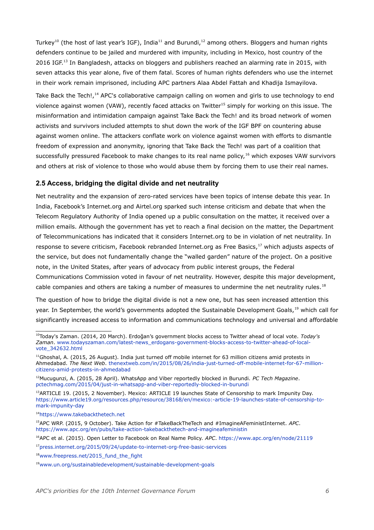Turkey<sup>[10](#page-5-0)</sup> (the host of last year's IGF), India<sup>[11](#page-5-1)</sup> and Burundi,<sup>[12](#page-5-2)</sup> among others. Bloggers and human rights defenders continue to be jailed and murdered with impunity, including in Mexico, host country of the 2016 IGF.<sup>[13](#page-5-3)</sup> In Bangladesh, attacks on bloggers and publishers reached an alarming rate in 2015, with seven attacks this year alone, five of them fatal. Scores of human rights defenders who use the internet in their work remain imprisoned, including APC partners Alaa Abdel Fattah and Khadija Ismayilova.

Take Back the Tech!,<sup>[14](#page-5-4)</sup> APC's collaborative campaign calling on women and girls to use technology to end violence against women (VAW), recently faced attacks on Twitter<sup>[15](#page-5-5)</sup> simply for working on this issue. The misinformation and intimidation campaign against Take Back the Tech! and its broad network of women activists and survivors included attempts to shut down the work of the IGF BPF on countering abuse against women online. The attackers conflate work on violence against women with efforts to dismantle freedom of expression and anonymity, ignoring that Take Back the Tech! was part of a coalition that successfully pressured Facebook to make changes to its real name policy,<sup>[16](#page-5-6)</sup> which exposes VAW survivors and others at risk of violence to those who would abuse them by forcing them to use their real names.

#### **2.5 Access, bridging the digital divide and net neutrality**

Net neutrality and the expansion of zero-rated services have been topics of intense debate this year. In India, Facebook's Internet.org and Airtel.org sparked such intense criticism and debate that when the Telecom Regulatory Authority of India opened up a public consultation on the matter, it received over a million emails. Although the government has yet to reach a final decision on the matter, the Department of Telecommunications has indicated that it considers Internet.org to be in violation of net neutrality. In response to severe criticism, Facebook rebranded Internet.org as Free Basics,<sup>[17](#page-5-7)</sup> which adjusts aspects of the service, but does not fundamentally change the "walled garden" nature of the project. On a positive note, in the United States, after years of advocacy from public interest groups, the Federal Communications Commission voted in favour of net neutrality. However, despite this major development, cable companies and others are taking a number of measures to undermine the net neutrality rules.<sup>[18](#page-5-8)</sup>

The question of how to bridge the digital divide is not a new one, but has seen increased attention this year. In September, the world's governments adopted the Sustainable Development Goals,<sup>[19](#page-5-9)</sup> which call for significantly increased access to information and communications technology and universal and affordable

<span id="page-5-4"></span><sup>14</sup>[https://www.takebackthetech.net](https://www.takebackthetech.net/)

<span id="page-5-5"></span><sup>15</sup>APC WRP. (2015, 9 October). Take Action for #TakeBackTheTech and #ImagineAFeministInternet. *APC*. <https://www.apc.org/en/pubs/take-action-takebackthetech-and-imagineafeministin>

<span id="page-5-6"></span><sup>16</sup>APC et al. (2015). Open Letter to Facebook on Real Name Policy. *APC*. [https://www.apc.org/en/node/21119](https://www.apc.org/en/node/21119/)

<span id="page-5-7"></span><sup>17</sup>[press.internet.org/2015/09/24/update-to-internet-org-free-basic-services](http://press.internet.org/2015/09/24/update-to-internet-org-free-basic-services/)

<span id="page-5-8"></span><sup>18</sup>www.freepress.net/2015 fund the fight

<span id="page-5-0"></span><sup>10</sup>Today's Zaman. (2014, 20 March). Erdoğan's government blocks access to Twitter ahead of local vote. *Today's Zaman*. [www.todayszaman.com/latest-news\\_erdogans-government-blocks-access-to-twitter-ahead-of-local](http://www.todayszaman.com/latest-news_erdogans-government-blocks-access-to-twitter-ahead-of-local-vote_342632.html)[vote\\_342632.html](http://www.todayszaman.com/latest-news_erdogans-government-blocks-access-to-twitter-ahead-of-local-vote_342632.html)

<span id="page-5-1"></span> $11$ Ghoshal, A. (2015, 26 August). India just turned off mobile internet for 63 million citizens amid protests in Ahmedabad. *The Next Web*. [thenextweb.com/in/2015/08/26/india-just-turned-off-mobile-internet-for-67-million](http://thenextweb.com/in/2015/08/26/india-just-turned-off-mobile-internet-for-67-million-citizens-amid-protests-in-ahmedabad)[citizens-amid-protests-in-ahmedabad](http://thenextweb.com/in/2015/08/26/india-just-turned-off-mobile-internet-for-67-million-citizens-amid-protests-in-ahmedabad)

<span id="page-5-2"></span><sup>12</sup>Mucugunzi, A. (2015, 28 April). WhatsApp and Viber reportedly blocked in Burundi. *PC Tech Magazine*. [pctechmag.com/2015/04/just-in-whatsapp-and-viber-reportedly-blocked-in-burundi](http://pctechmag.com/2015/04/just-in-whatsapp-and-viber-reportedly-blocked-in-burundi)

<span id="page-5-3"></span><sup>&</sup>lt;sup>13</sup>ARTICLE 19. (2015, 2 November). Mexico: ARTICLE 19 launches State of Censorship to mark Impunity Day. [https://www.article19.org/resources.php/resource/38168/en/mexico:-article-19-launches-state-of-censorship-to](https://www.article19.org/resources.php/resource/38168/en/mexico:-article-19-launches-state-of-censorship-to-mark-impunity-day)[mark-impunity-day](https://www.article19.org/resources.php/resource/38168/en/mexico:-article-19-launches-state-of-censorship-to-mark-impunity-day)

<span id="page-5-9"></span><sup>19</sup>[www.un.org/sustainabledevelopment/sustainable-development-goals](http://www.un.org/sustainabledevelopment/sustainable-development-goals/)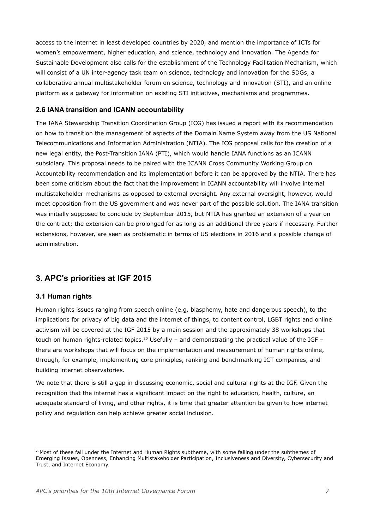access to the internet in least developed countries by 2020, and mention the importance of ICTs for women's empowerment, higher education, and science, technology and innovation. The Agenda for Sustainable Development also calls for the establishment of the Technology Facilitation Mechanism, which will consist of a UN inter-agency task team on science, technology and innovation for the SDGs, a collaborative annual multistakeholder forum on science, technology and innovation (STI), and an online platform as a gateway for information on existing STI initiatives, mechanisms and programmes.

#### **2.6 IANA transition and ICANN accountability**

The IANA Stewardship Transition Coordination Group (ICG) has issued a report with its recommendation on how to transition the management of aspects of the Domain Name System away from the US National Telecommunications and Information Administration (NTIA). The ICG proposal calls for the creation of a new legal entity, the Post-Transition IANA (PTI), which would handle IANA functions as an ICANN subsidiary. This proposal needs to be paired with the ICANN Cross Community Working Group on Accountability recommendation and its implementation before it can be approved by the NTIA. There has been some criticism about the fact that the improvement in ICANN accountability will involve internal multistakeholder mechanisms as opposed to external oversight. Any external oversight, however, would meet opposition from the US government and was never part of the possible solution. The IANA transition was initially supposed to conclude by September 2015, but NTIA has granted an extension of a year on the contract; the extension can be prolonged for as long as an additional three years if necessary. Further extensions, however, are seen as problematic in terms of US elections in 2016 and a possible change of administration.

# **3. APC's priorities at IGF 2015**

#### **3.1 Human rights**

Human rights issues ranging from speech online (e.g. blasphemy, hate and dangerous speech), to the implications for privacy of big data and the internet of things, to content control, LGBT rights and online activism will be covered at the IGF 2015 by a main session and the approximately 38 workshops that touch on human rights-related topics.<sup>[20](#page-6-0)</sup> Usefully – and demonstrating the practical value of the IGF – there are workshops that will focus on the implementation and measurement of human rights online, through, for example, implementing core principles, ranking and benchmarking ICT companies, and building internet observatories.

We note that there is still a gap in discussing economic, social and cultural rights at the IGF. Given the recognition that the internet has a significant impact on the right to education, health, culture, an adequate standard of living, and other rights, it is time that greater attention be given to how internet policy and regulation can help achieve greater social inclusion.

<span id="page-6-0"></span><sup>&</sup>lt;sup>20</sup>Most of these fall under the Internet and Human Rights subtheme, with some falling under the subthemes of Emerging Issues, Openness, Enhancing Multistakeholder Participation, Inclusiveness and Diversity, Cybersecurity and Trust, and Internet Economy.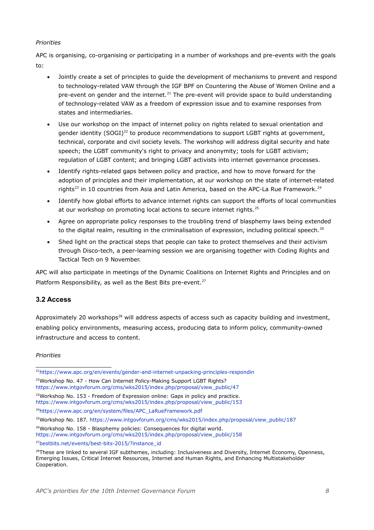#### *Priorities*

APC is organising, co-organising or participating in a number of workshops and pre-events with the goals to:

- Jointly create a set of principles to guide the development of mechanisms to prevent and respond to technology-related VAW through the IGF BPF on Countering the Abuse of Women Online and a pre-event on gender and the internet.<sup>[21](#page-7-0)</sup> The pre-event will provide space to build understanding of technology-related VAW as a freedom of expression issue and to examine responses from states and intermediaries.
- Use our workshop on the impact of internet policy on rights related to sexual orientation and gender identity (SOGI)<sup>[22](#page-7-1)</sup> to produce recommendations to support LGBT rights at government, technical, corporate and civil society levels. The workshop will address digital security and hate speech; the LGBT community's right to privacy and anonymity; tools for LGBT activism; regulation of LGBT content; and bringing LGBT activists into internet governance processes.
- Identify rights-related gaps between policy and practice, and how to move forward for the adoption of principles and their implementation, at our workshop on the state of internet-related rights<sup>[23](#page-7-2)</sup> in 10 countries from Asia and Latin America, based on the APC-La Rue Framework.<sup>[24](#page-7-3)</sup>
- Identify how global efforts to advance internet rights can support the efforts of local communities at our workshop on promoting local actions to secure internet rights.<sup>[25](#page-7-4)</sup>
- Agree on appropriate policy responses to the troubling trend of blasphemy laws being extended to the digital realm, resulting in the criminalisation of expression, including political speech. $^{26}$  $^{26}$  $^{26}$
- Shed light on the practical steps that people can take to protect themselves and their activism through Disco-tech, a peer-learning session we are organising together with Coding Rights and Tactical Tech on 9 November.

APC will also participate in meetings of the Dynamic Coalitions on Internet Rights and Principles and on Platform Responsibility, as well as the Best Bits pre-event.<sup>[27](#page-7-6)</sup>

#### **3.2 Access**

Approximately 20 workshops<sup>[28](#page-7-7)</sup> will address aspects of access such as capacity building and investment, enabling policy environments, measuring access, producing data to inform policy, community-owned infrastructure and access to content.

#### *Priorities*

<span id="page-7-0"></span><sup>21</sup><https://www.apc.org/en/events/gender-and-internet-unpacking-principles-respondin>

<span id="page-7-4"></span><sup>25</sup>Workshop No. 187. [https://www.intgovforum.org/cms/wks2015/index.php/proposal/view\\_public/187](https://www.intgovforum.org/cms/wks2015/index.php/proposal/view_public/187)

<span id="page-7-5"></span><sup>26</sup>Workshop No. 158 - Blasphemy policies: Consequences for digital world. [https://www.intgovforum.org/cms/wks2015/index.php/proposal/view\\_public/158](https://www.intgovforum.org/cms/wks2015/index.php/proposal/view_public/158)

<span id="page-7-6"></span><sup>27</sup>[bestbits.net/events/best-bits-2015/?instance\\_id](http://bestbits.net/events/best-bits-2015/?instance_id)

<span id="page-7-1"></span><sup>&</sup>lt;sup>22</sup>Workshop No. 47 - How Can Internet Policy-Making Support LGBT Rights? [https://www.intgovforum.org/cms/wks2015/index.php/proposal/view\\_public/47](https://www.intgovforum.org/cms/wks2015/index.php/proposal/view_public/47)

<span id="page-7-2"></span> $23$ Workshop No. 153 - Freedom of Expression online: Gaps in policy and practice. [https://www.intgovforum.org/cms/wks2015/index.php/proposal/view\\_public/153](https://www.intgovforum.org/cms/wks2015/index.php/proposal/view_public/153)

<span id="page-7-3"></span><sup>&</sup>lt;sup>24</sup>[https://www.apc.org/en/system/files/APC\\_LaRueFramework.pdf](https://www.apc.org/en/system/files/APC_LaRueFramework.pdf)

<span id="page-7-7"></span><sup>&</sup>lt;sup>28</sup>These are linked to several IGF subthemes, including: Inclusiveness and Diversity, Internet Economy, Openness, Emerging Issues, Critical Internet Resources, Internet and Human Rights, and Enhancing Multistakeholder Cooperation.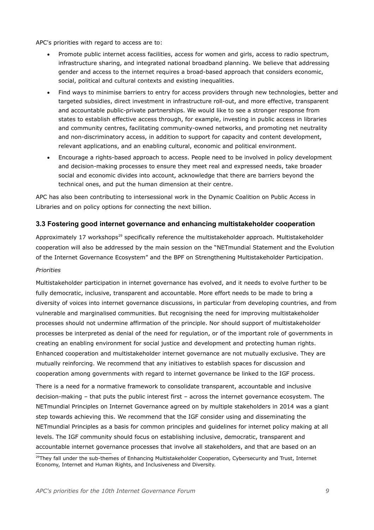APC's priorities with regard to access are to:

- Promote public internet access facilities, access for women and girls, access to radio spectrum, infrastructure sharing, and integrated national broadband planning. We believe that addressing gender and access to the internet requires a broad-based approach that considers economic, social, political and cultural contexts and existing inequalities.
- Find ways to minimise barriers to entry for access providers through new technologies, better and targeted subsidies, direct investment in infrastructure roll-out, and more effective, transparent and accountable public-private partnerships. We would like to see a stronger response from states to establish effective access through, for example, investing in public access in libraries and community centres, facilitating community-owned networks, and promoting net neutrality and non-discriminatory access, in addition to support for capacity and content development, relevant applications, and an enabling cultural, economic and political environment.
- Encourage a rights-based approach to access. People need to be involved in policy development and decision-making processes to ensure they meet real and expressed needs, take broader social and economic divides into account, acknowledge that there are barriers beyond the technical ones, and put the human dimension at their centre.

APC has also been contributing to intersessional work in the Dynamic Coalition on Public Access in Libraries and on policy options for connecting the next billion.

#### **3.3 Fostering good internet governance and enhancing multistakeholder cooperation**

Approximately 17 workshops<sup>[29](#page-8-0)</sup> specifically reference the multistakeholder approach. Multistakeholder cooperation will also be addressed by the main session on the "NETmundial Statement and the Evolution of the Internet Governance Ecosystem" and the BPF on Strengthening Multistakeholder Participation.

#### *Priorities*

Multistakeholder participation in internet governance has evolved, and it needs to evolve further to be fully democratic, inclusive, transparent and accountable. More effort needs to be made to bring a diversity of voices into internet governance discussions, in particular from developing countries, and from vulnerable and marginalised communities. But recognising the need for improving multistakeholder processes should not undermine affirmation of the principle. Nor should support of multistakeholder processes be interpreted as denial of the need for regulation, or of the important role of governments in creating an enabling environment for social justice and development and protecting human rights. Enhanced cooperation and multistakeholder internet governance are not mutually exclusive. They are mutually reinforcing. We recommend that any initiatives to establish spaces for discussion and cooperation among governments with regard to internet governance be linked to the IGF process.

There is a need for a normative framework to consolidate transparent, accountable and inclusive decision-making – that puts the public interest first – across the internet governance ecosystem. The NETmundial Principles on Internet Governance agreed on by multiple stakeholders in 2014 was a giant step towards achieving this. We recommend that the IGF consider using and disseminating the NETmundial Principles as a basis for common principles and guidelines for internet policy making at all levels. The IGF community should focus on establishing inclusive, democratic, transparent and accountable internet governance processes that involve all stakeholders, and that are based on an

<span id="page-8-0"></span><sup>&</sup>lt;sup>29</sup>They fall under the sub-themes of Enhancing Multistakeholder Cooperation, Cybersecurity and Trust, Internet Economy, Internet and Human Rights, and Inclusiveness and Diversity.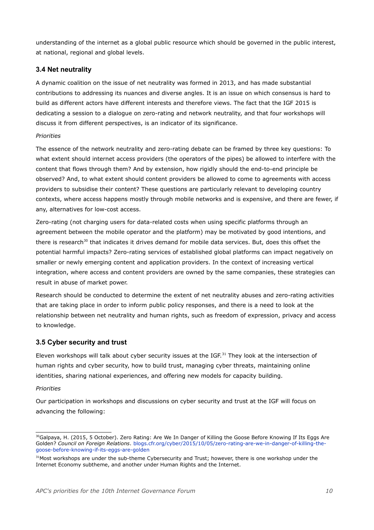understanding of the internet as a global public resource which should be governed in the public interest, at national, regional and global levels.

#### **3.4 Net neutrality**

A dynamic coalition on the issue of net neutrality was formed in 2013, and has made substantial contributions to addressing its nuances and diverse angles. It is an issue on which consensus is hard to build as different actors have different interests and therefore views. The fact that the IGF 2015 is dedicating a session to a dialogue on zero-rating and network neutrality, and that four workshops will discuss it from different perspectives, is an indicator of its significance.

#### *Priorities*

The essence of the network neutrality and zero-rating debate can be framed by three key questions: To what extent should internet access providers (the operators of the pipes) be allowed to interfere with the content that flows through them? And by extension, how rigidly should the end-to-end principle be observed? And, to what extent should content providers be allowed to come to agreements with access providers to subsidise their content? These questions are particularly relevant to developing country contexts, where access happens mostly through mobile networks and is expensive, and there are fewer, if any, alternatives for low-cost access.

Zero-rating (not charging users for data-related costs when using specific platforms through an agreement between the mobile operator and the platform) may be motivated by good intentions, and there is research<sup>[30](#page-9-0)</sup> that indicates it drives demand for mobile data services. But, does this offset the potential harmful impacts? Zero-rating services of established global platforms can impact negatively on smaller or newly emerging content and application providers. In the context of increasing vertical integration, where access and content providers are owned by the same companies, these strategies can result in abuse of market power.

Research should be conducted to determine the extent of net neutrality abuses and zero-rating activities that are taking place in order to inform public policy responses, and there is a need to look at the relationship between net neutrality and human rights, such as freedom of expression, privacy and access to knowledge.

## **3.5 Cyber security and trust**

Eleven workshops will talk about cyber security issues at the IGF.<sup>[31](#page-9-1)</sup> They look at the intersection of human rights and cyber security, how to build trust, managing cyber threats, maintaining online identities, sharing national experiences, and offering new models for capacity building.

#### *Priorities*

Our participation in workshops and discussions on cyber security and trust at the IGF will focus on advancing the following:

<span id="page-9-0"></span><sup>&</sup>lt;sup>30</sup>Galpaya, H. (2015, 5 October). Zero Rating: Are We In Danger of Killing the Goose Before Knowing If Its Eggs Are Golden? *Council on Foreign Relations*. [blogs.cfr.org/cyber/2015/10/05/zero-rating-are-we-in-danger-of-killing-the](http://blogs.cfr.org/cyber/2015/10/05/zero-rating-are-we-in-danger-of-killing-the-goose-before-knowing-if-its-eggs-are-golden/)[goose-before-knowing-if-its-eggs-are-golden](http://blogs.cfr.org/cyber/2015/10/05/zero-rating-are-we-in-danger-of-killing-the-goose-before-knowing-if-its-eggs-are-golden/)

<span id="page-9-1"></span><sup>&</sup>lt;sup>31</sup>Most workshops are under the sub-theme Cybersecurity and Trust; however, there is one workshop under the Internet Economy subtheme, and another under Human Rights and the Internet.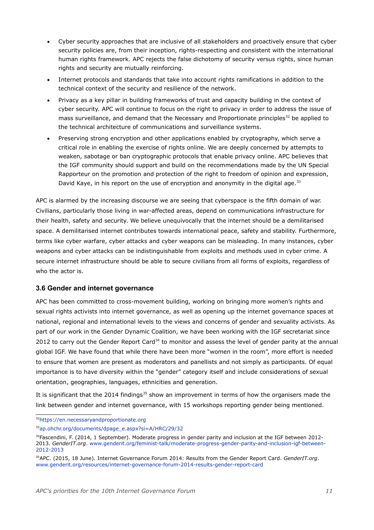- Cyber security approaches that are inclusive of all stakeholders and proactively ensure that cyber security policies are, from their inception, rights-respecting and consistent with the international human rights framework. APC rejects the false dichotomy of security versus rights, since human rights and security are mutually reinforcing.
- Internet protocols and standards that take into account rights ramifications in addition to the technical context of the security and resilience of the network.
- Privacy as a key pillar in building frameworks of trust and capacity building in the context of cyber security. APC will continue to focus on the right to privacy in order to address the issue of mass surveillance, and demand that the Necessary and Proportionate principles<sup>[32](#page-10-0)</sup> be applied to the technical architecture of communications and surveillance systems.
- Preserving strong encryption and other applications enabled by cryptography, which serve a critical role in enabling the exercise of rights online. We are deeply concerned by attempts to weaken, sabotage or ban cryptographic protocols that enable privacy online. APC believes that the IGF community should support and build on the recommendations made by the UN Special Rapporteur on the promotion and protection of the right to freedom of opinion and expression, David Kaye, in his report on the use of encryption and anonymity in the digital age.<sup>[33](#page-10-1)</sup>

APC is alarmed by the increasing discourse we are seeing that cyberspace is the fifth domain of war. Civilians, particularly those living in war-affected areas, depend on communications infrastructure for their health, safety and security. We believe unequivocally that the internet should be a demilitarised space. A demilitarised internet contributes towards international peace, safety and stability. Furthermore, terms like cyber warfare, cyber attacks and cyber weapons can be misleading. In many instances, cyber weapons and cyber attacks can be indistinguishable from exploits and methods used in cyber crime. A secure internet infrastructure should be able to secure civilians from all forms of exploits, regardless of who the actor is.

#### **3.6 Gender and internet governance**

APC has been committed to cross-movement building, working on bringing more women's rights and sexual rights activists into internet governance, as well as opening up the internet governance spaces at national, regional and international levels to the views and concerns of gender and sexuality activists. As part of our work in the Gender Dynamic Coalition, we have been working with the IGF secretariat since 2012 to carry out the Gender Report Card<sup>[34](#page-10-2)</sup> to monitor and assess the level of gender parity at the annual global IGF. We have found that while there have been more "women in the room", more effort is needed to ensure that women are present as moderators and panellists and not simply as participants. Of equal importance is to have diversity within the "gender" category itself and include considerations of sexual orientation, geographies, languages, ethnicities and generation.

It is significant that the 2014 findings<sup>[35](#page-10-3)</sup> show an improvement in terms of how the organisers made the link between gender and internet governance, with 15 workshops reporting gender being mentioned.

<span id="page-10-0"></span><sup>32</sup>[https://en.necessaryandproportionate.org](https://en.necessaryandproportionate.org/)

<span id="page-10-1"></span><sup>33</sup>[ap.ohchr.org/documents/dpage\\_e.aspx?si=A/HRC/29/32](http://ap.ohchr.org/documents/dpage_e.aspx?si=A/HRC/29/32)

<span id="page-10-2"></span> $34$ Fascendini, F. (2014, 1 September). Moderate progress in gender parity and inclusion at the IGF between 2012-2013. *GenderIT.org*. [www.genderit.org/feminist-talk/moderate-progress-gender-parity-and-inclusion-igf-between-](http://www.genderit.org/feminist-talk/moderate-progress-gender-parity-and-inclusion-igf-between-2012-2013)[2012-2013](http://www.genderit.org/feminist-talk/moderate-progress-gender-parity-and-inclusion-igf-between-2012-2013)

<span id="page-10-3"></span><sup>35</sup>APC. (2015, 18 June). Internet Governance Forum 2014: Results from the Gender Report Card. *GenderIT.org*. [www.genderit.org/resources/internet-governance-forum-2014-results-gender-report-card](http://www.genderit.org/resources/internet-governance-forum-2014-results-gender-report-card)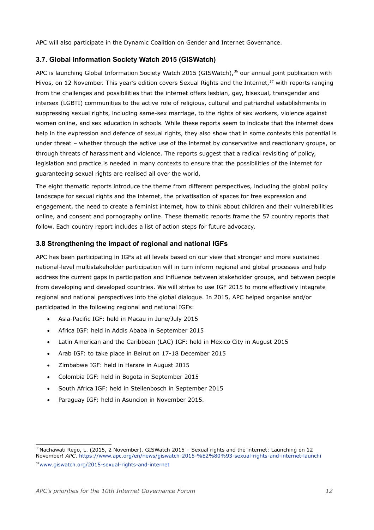APC will also participate in the Dynamic Coalition on Gender and Internet Governance.

#### **3.7. Global Information Society Watch 2015 (GISWatch)**

APC is launching Global Information Society Watch 2015 (GISWatch),<sup>[36](#page-11-0)</sup> our annual joint publication with Hivos, on 12 November. This year's edition covers Sexual Rights and the Internet,<sup>[37](#page-11-1)</sup> with reports ranging from the challenges and possibilities that the internet offers lesbian, gay, bisexual, transgender and intersex (LGBTI) communities to the active role of religious, cultural and patriarchal establishments in suppressing sexual rights, including same-sex marriage, to the rights of sex workers, violence against women online, and sex education in schools. While these reports seem to indicate that the internet does help in the expression and defence of sexual rights, they also show that in some contexts this potential is under threat – whether through the active use of the internet by conservative and reactionary groups, or through threats of harassment and violence. The reports suggest that a radical revisiting of policy, legislation and practice is needed in many contexts to ensure that the possibilities of the internet for guaranteeing sexual rights are realised all over the world.

The eight thematic reports introduce the theme from different perspectives, including the global policy landscape for sexual rights and the internet, the privatisation of spaces for free expression and engagement, the need to create a feminist internet, how to think about children and their vulnerabilities online, and consent and pornography online. These thematic reports frame the 57 country reports that follow. Each country report includes a list of action steps for future advocacy.

#### **3.8 Strengthening the impact of regional and national IGFs**

APC has been participating in IGFs at all levels based on our view that stronger and more sustained national-level multistakeholder participation will in turn inform regional and global processes and help address the current gaps in participation and influence between stakeholder groups, and between people from developing and developed countries. We will strive to use IGF 2015 to more effectively integrate regional and national perspectives into the global dialogue. In 2015, APC helped organise and/or participated in the following regional and national IGFs:

- Asia-Pacific IGF: held in Macau in June/July 2015
- Africa IGF: held in Addis Ababa in September 2015
- Latin American and the Caribbean (LAC) IGF: held in Mexico City in August 2015
- Arab IGF: to take place in Beirut on 17-18 December 2015
- Zimbabwe IGF: held in Harare in August 2015
- Colombia IGF: held in Bogota in September 2015
- South Africa IGF: held in Stellenbosch in September 2015
- Paraguay IGF: held in Asuncion in November 2015.

<span id="page-11-0"></span> $36$ Nachawati Rego, L. (2015, 2 November). GISWatch 2015 – Sexual rights and the internet: Launching on 12 November! *APC*.<https://www.apc.org/en/news/giswatch-2015-%E2%80%93-sexual-rights-and-internet-launchi>

<span id="page-11-1"></span><sup>37</sup>[www.giswatch.org/2015-sexual-rights-and-internet](http://www.giswatch.org/2015-sexual-rights-and-internet)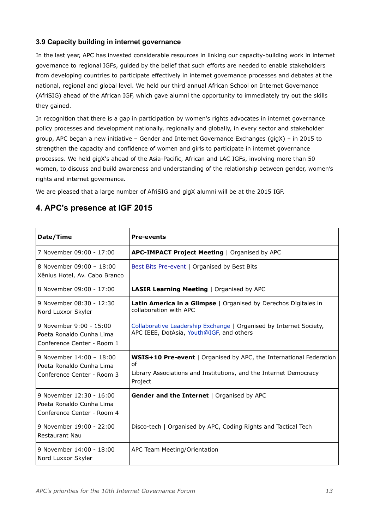#### **3.9 Capacity building in internet governance**

In the last year, APC has invested considerable resources in linking our capacity-building work in internet governance to regional IGFs, guided by the belief that such efforts are needed to enable stakeholders from developing countries to participate effectively in internet governance processes and debates at the national, regional and global level. We held our third annual African School on Internet Governance (AfriSIG) ahead of the African IGF, which gave alumni the opportunity to immediately try out the skills they gained.

In recognition that there is a gap in participation by women's rights advocates in internet governance policy processes and development nationally, regionally and globally, in every sector and stakeholder group, APC began a new initiative – Gender and Internet Governance Exchanges (gigX) – in 2015 to strengthen the capacity and confidence of women and girls to participate in internet governance processes. We held gigX's ahead of the Asia-Pacific, African and LAC IGFs, involving more than 50 women, to discuss and build awareness and understanding of the relationship between gender, women's rights and internet governance.

We are pleased that a large number of AfriSIG and gigX alumni will be at the 2015 IGF.

#### **Date/Time Pre-events** 7 November 09:00 - 17:00 **APC-IMPACT Project Meeting** | Organised by APC 8 November 09:00 – 18:00 Xênius Hotel, Av. Cabo Branco Best Bits Pre-event | Organised by Best Bits 8 November 09:00 - 17:00 **LASIR Learning Meeting** | Organised by APC 9 November 08:30 - 12:30 Nord Luxxor Skyler **Latin America in a Glimpse** | Organised by Derechos Digitales in collaboration with APC 9 November 9:00 - 15:00 Poeta Ronaldo Cunha Lima Conference Center - Room 1 [Collaborative Leadership Exchange](https://internetsociety.wufoo.com/forms/collaborative-leadership-exchange-preregistration/) | Organised by Internet Society, APC IEEE, DotAsia, [Youth@IGF,](mailto:Youth@IGF) and others 9 November 14:00 – 18:00 Poeta Ronaldo Cunha Lima Conference Center - Room 3 **WSIS+10 Pre-event** | Organised by APC, the International Federation of Library Associations and Institutions, and the Internet Democracy Project 9 November 12:30 - 16:00 Poeta Ronaldo Cunha Lima Conference Center - Room 4 **Gender and the Internet** | Organised by APC 9 November 19:00 - 22:00 Restaurant Nau Disco-tech | Organised by APC, Coding Rights and Tactical Tech 9 November 14:00 - 18:00 Nord Luxxor Skyler APC Team Meeting/Orientation

# **4. APC's presence at IGF 2015**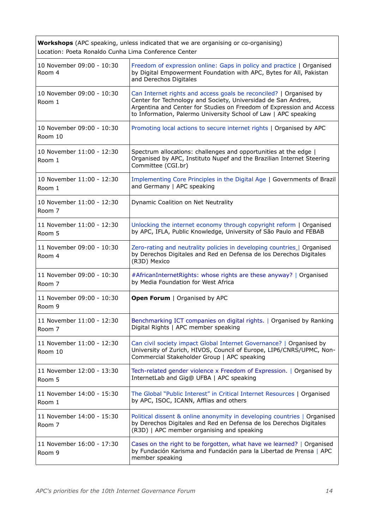| <b>Workshops</b> (APC speaking, unless indicated that we are organising or co-organising)<br>Location: Poeta Ronaldo Cunha Lima Conference Center |                                                                                                                                                                                                                                                                                |  |  |
|---------------------------------------------------------------------------------------------------------------------------------------------------|--------------------------------------------------------------------------------------------------------------------------------------------------------------------------------------------------------------------------------------------------------------------------------|--|--|
| 10 November 09:00 - 10:30<br>Room 4                                                                                                               | Freedom of expression online: Gaps in policy and practice   Organised<br>by Digital Empowerment Foundation with APC, Bytes for All, Pakistan<br>and Derechos Digitales                                                                                                         |  |  |
| 10 November 09:00 - 10:30<br>Room 1                                                                                                               | Can Internet rights and access goals be reconciled?   Organised by<br>Center for Technology and Society, Universidad de San Andres,<br>Argentina and Center for Studies on Freedom of Expression and Access<br>to Information, Palermo University School of Law   APC speaking |  |  |
| 10 November 09:00 - 10:30<br>Room 10                                                                                                              | Promoting local actions to secure internet rights   Organised by APC                                                                                                                                                                                                           |  |  |
| 10 November 11:00 - 12:30<br>Room 1                                                                                                               | Spectrum allocations: challenges and opportunities at the edge  <br>Organised by APC, Instituto Nupef and the Brazilian Internet Steering<br>Committee (CGI.br)                                                                                                                |  |  |
| 10 November 11:00 - 12:30<br>Room 1                                                                                                               | Implementing Core Principles in the Digital Age   Governments of Brazil<br>and Germany   APC speaking                                                                                                                                                                          |  |  |
| 10 November 11:00 - 12:30<br>Room 7                                                                                                               | Dynamic Coalition on Net Neutrality                                                                                                                                                                                                                                            |  |  |
| 11 November 11:00 - 12:30<br>Room 5                                                                                                               | Unlocking the internet economy through copyright reform   Organised<br>by APC, IFLA, Public Knowledge, University of São Paulo and FEBAB                                                                                                                                       |  |  |
| 11 November 09:00 - 10:30<br>Room 4                                                                                                               | Zero-rating and neutrality policies in developing countries_  Organised<br>by Derechos Digitales and Red en Defensa de los Derechos Digitales<br>(R3D) Mexico                                                                                                                  |  |  |
| 11 November 09:00 - 10:30<br>Room 7                                                                                                               | #AfricanInternetRights: whose rights are these anyway?   Organised<br>by Media Foundation for West Africa                                                                                                                                                                      |  |  |
| 11 November 09:00 - 10:30<br>Room 9                                                                                                               | <b>Open Forum</b>   Organised by APC                                                                                                                                                                                                                                           |  |  |
| 11 November 11:00 - 12:30<br>Room 7                                                                                                               | Benchmarking ICT companies on digital rights.   Organised by Ranking<br>Digital Rights   APC member speaking                                                                                                                                                                   |  |  |
| 11 November 11:00 - 12:30<br>Room 10                                                                                                              | Can civil society impact Global Internet Governance?   Organised by<br>University of Zurich, HIVOS, Council of Europe, LIP6/CNRS/UPMC, Non-<br>Commercial Stakeholder Group   APC speaking                                                                                     |  |  |
| 11 November 12:00 - 13:30<br>Room 5                                                                                                               | Tech-related gender violence x Freedom of Expression.   Organised by<br>InternetLab and Gig@ UFBA   APC speaking                                                                                                                                                               |  |  |
| 11 November 14:00 - 15:30<br>Room 1                                                                                                               | The Global "Public Interest" in Critical Internet Resources   Organised<br>by APC, ISOC, ICANN, Afflias and others                                                                                                                                                             |  |  |
| 11 November 14:00 - 15:30<br>Room 7                                                                                                               | Political dissent & online anonymity in developing countries   Organised<br>by Derechos Digitales and Red en Defensa de los Derechos Digitales<br>(R3D)   APC member organising and speaking                                                                                   |  |  |
| 11 November 16:00 - 17:30<br>Room 9                                                                                                               | Cases on the right to be forgotten, what have we learned?   Organised<br>by Fundación Karisma and Fundación para la Libertad de Prensa   APC<br>member speaking                                                                                                                |  |  |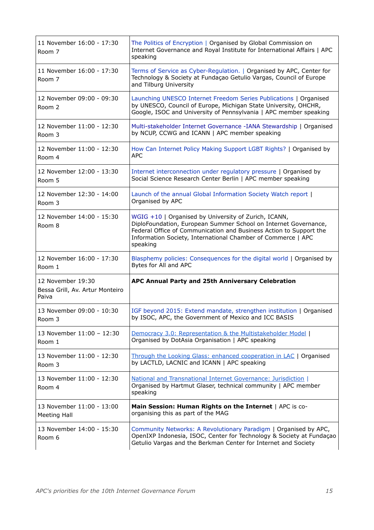| 11 November 16:00 - 17:30<br>Room 7      | The Politics of Encryption   Organised by Global Commission on<br>Internet Governance and Royal Institute for International Affairs   APC<br>speaking                                                                                                                     |
|------------------------------------------|---------------------------------------------------------------------------------------------------------------------------------------------------------------------------------------------------------------------------------------------------------------------------|
| 11 November 16:00 - 17:30<br>Room 7      | Terms of Service as Cyber-Regulation.   Organised by APC, Center for<br>Technology & Society at Fundaçao Getulio Vargas, Council of Europe<br>and Tilburg University                                                                                                      |
| 12 November 09:00 - 09:30<br>Room 2      | Launching UNESCO Internet Freedom Series Publications   Organised<br>by UNESCO, Council of Europe, Michigan State University, OHCHR,<br>Google, ISOC and University of Pennsylvania   APC member speaking                                                                 |
| 12 November 11:00 - 12:30                | Multi-stakeholder Internet Governance -IANA Stewardship   Organised                                                                                                                                                                                                       |
| Room 3                                   | by NCUP, CCWG and ICANN   APC member speaking                                                                                                                                                                                                                             |
| 12 November 11:00 - 12:30                | How Can Internet Policy Making Support LGBT Rights?   Organised by                                                                                                                                                                                                        |
| Room 4                                   | <b>APC</b>                                                                                                                                                                                                                                                                |
| 12 November 12:00 - 13:30                | Internet interconnection under regulatory pressure   Organised by                                                                                                                                                                                                         |
| Room 5                                   | Social Science Research Center Berlin   APC member speaking                                                                                                                                                                                                               |
| 12 November 12:30 - 14:00                | Launch of the annual Global Information Society Watch report                                                                                                                                                                                                              |
| Room 3                                   | Organised by APC                                                                                                                                                                                                                                                          |
| 12 November 14:00 - 15:30<br>Room 8      | WGIG +10   Organised by University of Zurich, ICANN,<br>DiploFoundation, European Summer School on Internet Governance,<br>Federal Office of Communication and Business Action to Support the<br>Information Society, International Chamber of Commerce   APC<br>speaking |
| 12 November 16:00 - 17:30                | Blasphemy policies: Consequences for the digital world   Organised by                                                                                                                                                                                                     |
| Room 1                                   | Bytes for All and APC                                                                                                                                                                                                                                                     |
| 12 November 19:30                        |                                                                                                                                                                                                                                                                           |
| Bessa Grill, Av. Artur Monteiro<br>Paiva | APC Annual Party and 25th Anniversary Celebration                                                                                                                                                                                                                         |
| 13 November 09:00 - 10:30                | IGF beyond 2015: Extend mandate, strengthen institution   Organised                                                                                                                                                                                                       |
| Room 3                                   | by ISOC, APC, the Government of Mexico and ICC BASIS                                                                                                                                                                                                                      |
| 13 November 11:00 - 12:30                | Democracy 3.0: Representation & the Multistakeholder Model                                                                                                                                                                                                                |
| Room 1                                   | Organised by DotAsia Organisation   APC speaking                                                                                                                                                                                                                          |
| 13 November 11:00 - 12:30                | Through the Looking Glass: enhanced cooperation in LAC   Organised                                                                                                                                                                                                        |
| Room 3                                   | by LACTLD, LACNIC and ICANN   APC speaking                                                                                                                                                                                                                                |
| 13 November 11:00 - 12:30<br>Room 4      | National and Transnational Internet Governance: Jurisdiction<br>Organised by Hartmut Glaser, technical community   APC member<br>speaking                                                                                                                                 |
| 13 November 11:00 - 13:00                | Main Session: Human Rights on the Internet   APC is co-                                                                                                                                                                                                                   |
| <b>Meeting Hall</b>                      | organising this as part of the MAG                                                                                                                                                                                                                                        |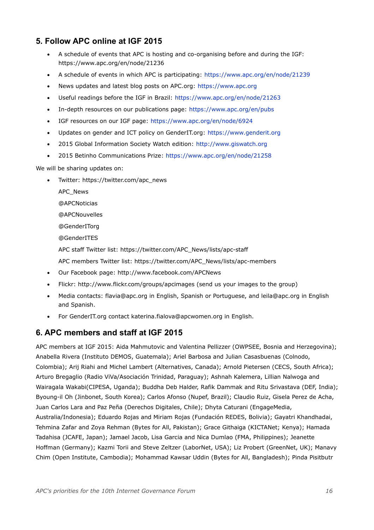# **5. Follow APC online at IGF 2015**

- A schedule of events that APC is hosting and co-organising before and during the IGF: https://www.apc.org/en/node/21236
- A schedule of events in which APC is participating:<https://www.apc.org/en/node/21239>
- News updates and latest blog posts on APC.org: [https://www.apc.org](https://www.apc.org/)
- Useful readings before the IGF in Brazil:<https://www.apc.org/en/node/21263>
- In-depth resources on our publications page:<https://www.apc.org/en/pubs>
- IGF resources on our IGF page:<https://www.apc.org/en/node/6924>
- Updates on gender and ICT policy on GenderIT.org: [https://www.genderit.org](https://www.genderit.org/)
- 2015 Global Information Society Watch edition: [http://www.giswatch.org](http://www.giswatch.org/)
- 2015 Betinho Communications Prize:<https://www.apc.org/en/node/21258>

We will be sharing updates on:

- Twitter: https://twitter.com/apc\_news
	- APC\_News
	- @APCNoticias
	- @APCNouvelles
	- @GenderITorg
	- @GenderITES
	- APC staff Twitter list: https://twitter.com/APC\_News/lists/apc-staff
	- APC members Twitter list: https://twitter.com/APC\_News/lists/apc-members
- Our Facebook page: http://www.facebook.com/APCNews
- Flickr: http://www.flickr.com/groups/apcimages (send us your images to the group)
- Media contacts: flavia@apc.org in English, Spanish or Portuguese, and leila@apc.org in English and Spanish.
- For GenderIT.org contact katerina.fialova@apcwomen.org in English.

# **6. APC members and staff at IGF 2015**

APC members at IGF 2015: Aida Mahmutovic and Valentina Pellizzer (OWPSEE, Bosnia and Herzegovina); Anabella Rivera (Instituto DEMOS, Guatemala); Ariel Barbosa and Julian Casasbuenas (Colnodo, Colombia); Arij Riahi and Michel Lambert (Alternatives, Canada); Arnold Pietersen (CECS, South Africa); Arturo Bregaglio (Radio ViVa/Asociación Trinidad, Paraguay); Ashnah Kalemera, Lillian Nalwoga and Wairagala Wakabi(CIPESA, Uganda); Buddha Deb Halder, Rafik Dammak and Ritu Srivastava (DEF, India); Byoung-il Oh (Jinbonet, South Korea); Carlos Afonso (Nupef, Brazil); Claudio Ruiz, Gisela Perez de Acha, Juan Carlos Lara and Paz Peña (Derechos Digitales, Chile); Dhyta Caturani (EngageMedia, Australia/Indonesia); Eduardo Rojas and Miriam Rojas (Fundación REDES, Bolivia); Gayatri Khandhadai, Tehmina Zafar and Zoya Rehman (Bytes for All, Pakistan); Grace Githaiga (KICTANet; Kenya); Hamada Tadahisa (JCAFE, Japan); Jamael Jacob, Lisa Garcia and Nica Dumlao (FMA, Philippines); Jeanette Hoffman (Germany); Kazmi Torii and Steve Zeltzer (LaborNet, USA); Liz Probert (GreenNet, UK); Manavy Chim (Open Institute, Cambodia); Mohammad Kawsar Uddin (Bytes for All, Bangladesh); Pinda Pisitbutr